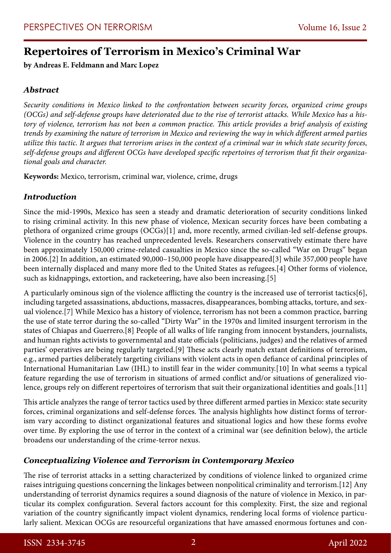# **Repertoires of Terrorism in Mexico's Criminal War**

**by Andreas E. Feldmann and Marc Lopez**

# *Abstract*

*Security conditions in Mexico linked to the confrontation between security forces, organized crime groups (OCGs) and self-defense groups have deteriorated due to the rise of terrorist attacks. While Mexico has a history of violence, terrorism has not been a common practice. This article provides a brief analysis of existing trends by examining the nature of terrorism in Mexico and reviewing the way in which different armed parties utilize this tactic. It argues that terrorism arises in the context of a criminal war in which state security forces, self-defense groups and different OCGs have developed specific repertoires of terrorism that fit their organizational goals and character.*

**Keywords:** Mexico, terrorism, criminal war, violence, crime, drugs

# *Introduction*

Since the mid-1990s, Mexico has seen a steady and dramatic deterioration of security conditions linked to rising criminal activity. In this new phase of violence, Mexican security forces have been combating a plethora of organized crime groups (OCGs)[1] and, more recently, armed civilian-led self-defense groups. Violence in the country has reached unprecedented levels. Researchers conservatively estimate there have been approximately 150,000 crime-related casualties in Mexico since the so-called "War on Drugs" began in 2006.[2] In addition, an estimated 90,000–150,000 people have disappeared[3] while 357,000 people have been internally displaced and many more fled to the United States as refugees.[4] Other forms of violence, such as kidnappings, extortion, and racketeering, have also been increasing.[5]

A particularly ominous sign of the violence afflicting the country is the increased use of terrorist tactics[6], including targeted assassinations, abductions, massacres, disappearances, bombing attacks, torture, and sexual violence.[7] While Mexico has a history of violence, terrorism has not been a common practice, barring the use of state terror during the so-called "Dirty War" in the 1970s and limited insurgent terrorism in the states of Chiapas and Guerrero.[8] People of all walks of life ranging from innocent bystanders, journalists, and human rights activists to governmental and state officials (politicians, judges) and the relatives of armed parties' operatives are being regularly targeted.[9] These acts clearly match extant definitions of terrorism, e.g., armed parties deliberately targeting civilians with violent acts in open defiance of cardinal principles of International Humanitarian Law (IHL) to instill fear in the wider community.[10] In what seems a typical feature regarding the use of terrorism in situations of armed conflict and/or situations of generalized violence, groups rely on different repertoires of terrorism that suit their organizational identities and goals.[11]

This article analyzes the range of terror tactics used by three different armed parties in Mexico: state security forces, criminal organizations and self-defense forces. The analysis highlights how distinct forms of terrorism vary according to distinct organizational features and situational logics and how these forms evolve over time. By exploring the use of terror in the context of a criminal war (see definition below), the article broadens our understanding of the crime-terror nexus.

## *Conceptualizing Violence and Terrorism in Contemporary Mexico*

The rise of terrorist attacks in a setting characterized by conditions of violence linked to organized crime raises intriguing questions concerning the linkages between nonpolitical criminality and terrorism.[12] Any understanding of terrorist dynamics requires a sound diagnosis of the nature of violence in Mexico, in particular its complex configuration. Several factors account for this complexity. First, the size and regional variation of the country significantly impact violent dynamics, rendering local forms of violence particularly salient. Mexican OCGs are resourceful organizations that have amassed enormous fortunes and con-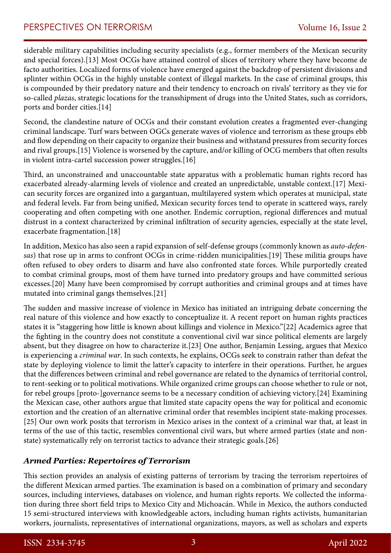# PERSPECTIVES ON TERRORISM Volume 16, Issue 2

siderable military capabilities including security specialists (e.g., former members of the Mexican security and special forces).[13] Most OCGs have attained control of slices of territory where they have become de facto authorities. Localized forms of violence have emerged against the backdrop of persistent divisions and splinter within OCGs in the highly unstable context of illegal markets. In the case of criminal groups, this is compounded by their predatory nature and their tendency to encroach on rivals' territory as they vie for so-called *plazas*, strategic locations for the transshipment of drugs into the United States, such as corridors, ports and border cities.[14]

Second, the clandestine nature of OCGs and their constant evolution creates a fragmented ever-changing criminal landscape. Turf wars between OGCs generate waves of violence and terrorism as these groups ebb and flow depending on their capacity to organize their business and withstand pressures from security forces and rival groups.[15] Violence is worsened by the capture, and/or killing of OCG members that often results in violent intra-cartel succession power struggles.[16]

Third, an unconstrained and unaccountable state apparatus with a problematic human rights record has exacerbated already-alarming levels of violence and created an unpredictable, unstable context.[17] Mexican security forces are organized into a gargantuan, multilayered system which operates at municipal, state and federal levels. Far from being unified, Mexican security forces tend to operate in scattered ways, rarely cooperating and often competing with one another. Endemic corruption, regional differences and mutual distrust in a context characterized by criminal infiltration of security agencies, especially at the state level, exacerbate fragmentation.[18]

In addition, Mexico has also seen a rapid expansion of self-defense groups (commonly known as *auto-defensas*) that rose up in arms to confront OCGs in crime-ridden municipalities.[19] These militia groups have often refused to obey orders to disarm and have also confronted state forces. While purportedly created to combat criminal groups, most of them have turned into predatory groups and have committed serious excesses.[20] Many have been compromised by corrupt authorities and criminal groups and at times have mutated into criminal gangs themselves.[21]

The sudden and massive increase of violence in Mexico has initiated an intriguing debate concerning the real nature of this violence and how exactly to conceptualize it. A recent report on human rights practices states it is "staggering how little is known about killings and violence in Mexico."[22] Academics agree that the fighting in the country does not constitute a conventional civil war since political elements are largely absent, but they disagree on how to characterize it.[23] One author, Benjamin Lessing, argues that Mexico is experiencing a *criminal war*. In such contexts, he explains, OCGs seek to constrain rather than defeat the state by deploying violence to limit the latter's capacity to interfere in their operations. Further, he argues that the differences between criminal and rebel governance are related to the dynamics of territorial control, to rent-seeking or to political motivations. While organized crime groups can choose whether to rule or not, for rebel groups [proto-]governance seems to be a necessary condition of achieving victory.[24] Examining the Mexican case, other authors argue that limited state capacity opens the way for political and economic extortion and the creation of an alternative criminal order that resembles incipient state-making processes. [25] Our own work posits that terrorism in Mexico arises in the context of a criminal war that, at least in terms of the use of this tactic, resembles conventional civil wars, but where armed parties (state and nonstate) systematically rely on terrorist tactics to advance their strategic goals.[26]

## *Armed Parties: Repertoires of Terrorism*

This section provides an analysis of existing patterns of terrorism by tracing the terrorism repertoires of the different Mexican armed parties. The examination is based on a combination of primary and secondary sources, including interviews, databases on violence, and human rights reports. We collected the information during three short field trips to Mexico City and Michoacán. While in Mexico, the authors conducted 15 semi-structured interviews with knowledgeable actors, including human rights activists, humanitarian workers, journalists, representatives of international organizations, mayors, as well as scholars and experts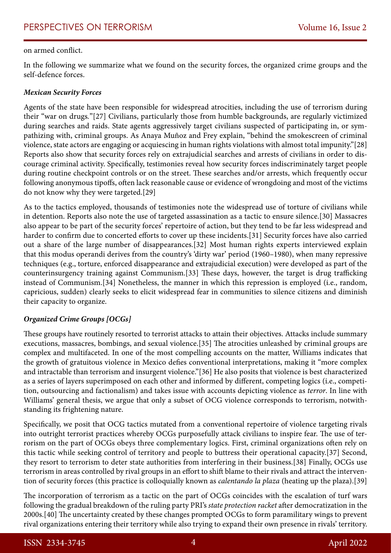#### on armed conflict.

In the following we summarize what we found on the security forces, the organized crime groups and the self-defence forces.

#### *Mexican Security Forces*

Agents of the state have been responsible for widespread atrocities, including the use of terrorism during their "war on drugs*.*"[27] Civilians, particularly those from humble backgrounds, are regularly victimized during searches and raids. State agents aggressively target civilians suspected of participating in, or sympathizing with, criminal groups. As Anaya Muñoz and Frey explain, "behind the smokescreen of criminal violence, state actors are engaging or acquiescing in human rights violations with almost total impunity."[28] Reports also show that security forces rely on extrajudicial searches and arrests of civilians in order to discourage criminal activity. Specifically, testimonies reveal how security forces indiscriminately target people during routine checkpoint controls or on the street. These searches and/or arrests, which frequently occur following anonymous tipoffs, often lack reasonable cause or evidence of wrongdoing and most of the victims do not know why they were targeted.[29]

As to the tactics employed, thousands of testimonies note the widespread use of torture of civilians while in detention. Reports also note the use of targeted assassination as a tactic to ensure silence.[30] Massacres also appear to be part of the security forces' repertoire of action, but they tend to be far less widespread and harder to confirm due to concerted efforts to cover up these incidents.[31] Security forces have also carried out a share of the large number of disappearances.[32] Most human rights experts interviewed explain that this modus operandi derives from the country's 'dirty war' period (1960–1980), when many repressive techniques (e.g., torture, enforced disappearance and extrajudicial execution) were developed as part of the counterinsurgency training against Communism.[33] These days, however, the target is drug trafficking instead of Communism.[34] Nonetheless, the manner in which this repression is employed (i.e., random, capricious, sudden) clearly seeks to elicit widespread fear in communities to silence citizens and diminish their capacity to organize.

#### *Organized Crime Groups [OCGs]*

These groups have routinely resorted to terrorist attacks to attain their objectives. Attacks include summary executions, massacres, bombings, and sexual violence.[35] The atrocities unleashed by criminal groups are complex and multifaceted. In one of the most compelling accounts on the matter, Williams indicates that the growth of gratuitous violence in Mexico defies conventional interpretations, making it "more complex and intractable than terrorism and insurgent violence."[36] He also posits that violence is best characterized as a series of layers superimposed on each other and informed by different, competing logics (i.e., competition, outsourcing and factionalism) and takes issue with accounts depicting violence as *terror*. In line with Williams' general thesis, we argue that only a subset of OCG violence corresponds to terrorism, notwithstanding its frightening nature.

Specifically, we posit that OCG tactics mutated from a conventional repertoire of violence targeting rivals into outright terrorist practices whereby OCGs purposefully attack civilians to inspire fear. The use of terrorism on the part of OCGs obeys three complementary logics. First, criminal organizations often rely on this tactic while seeking control of territory and people to buttress their operational capacity.[37] Second, they resort to terrorism to deter state authorities from interfering in their business.[38] Finally, OCGs use terrorism in areas controlled by rival groups in an effort to shift blame to their rivals and attract the intervention of security forces (this practice is colloquially known as *calentando la plaza* (heating up the plaza).[39]

The incorporation of terrorism as a tactic on the part of OCGs coincides with the escalation of turf wars following the gradual breakdown of the ruling party PRI's *state protection racket* after democratization in the 2000s.[40] The uncertainty created by these changes prompted OCGs to form paramilitary wings to prevent rival organizations entering their territory while also trying to expand their own presence in rivals' territory.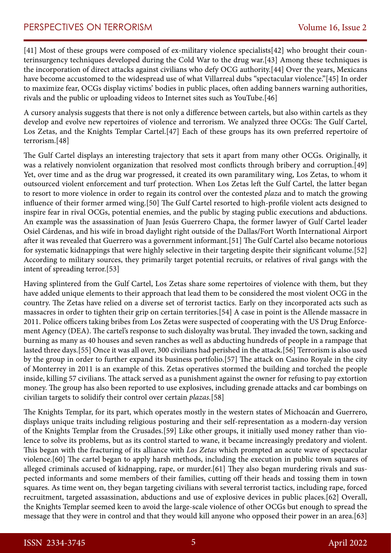[41] Most of these groups were composed of ex-military violence specialists[42] who brought their counterinsurgency techniques developed during the Cold War to the drug war.[43] Among these techniques is the incorporation of direct attacks against civilians who defy OCG authority.[44] Over the years, Mexicans have become accustomed to the widespread use of what Villarreal dubs "spectacular violence."[45] In order to maximize fear, OCGs display victims' bodies in public places, often adding banners warning authorities, rivals and the public or uploading videos to Internet sites such as YouTube.[46]

A cursory analysis suggests that there is not only a difference between cartels, but also within cartels as they develop and evolve new repertoires of violence and terrorism. We analyzed three OCGs: The Gulf Cartel, Los Zetas, and the Knights Templar Cartel.[47] Each of these groups has its own preferred repertoire of terrorism.[48]

The Gulf Cartel displays an interesting trajectory that sets it apart from many other OCGs. Originally, it was a relatively nonviolent organization that resolved most conflicts through bribery and corruption.[49] Yet, over time and as the drug war progressed, it created its own paramilitary wing, Los Zetas, to whom it outsourced violent enforcement and turf protection. When Los Zetas left the Gulf Cartel, the latter began to resort to more violence in order to regain its control over the contested *plaza* and to match the growing influence of their former armed wing.[50] The Gulf Cartel resorted to high-profile violent acts designed to inspire fear in rival OCGs, potential enemies, and the public by staging public executions and abductions. An example was the assassination of Juan Jesús Guerrero Chapa, the former lawyer of Gulf Cartel leader Osiel Cárdenas, and his wife in broad daylight right outside of the Dallas/Fort Worth International Airport after it was revealed that Guerrero was a government informant.[51] The Gulf Cartel also became notorious for systematic kidnappings that were highly selective in their targeting despite their significant volume.[52] According to military sources, they primarily target potential recruits, or relatives of rival gangs with the intent of spreading terror.[53]

Having splintered from the Gulf Cartel, Los Zetas share some repertoires of violence with them, but they have added unique elements to their approach that lead them to be considered the most violent OCG in the country. The Zetas have relied on a diverse set of terrorist tactics. Early on they incorporated acts such as massacres in order to tighten their grip on certain territories.[54] A case in point is the Allende massacre in 2011. Police officers taking bribes from Los Zetas were suspected of cooperating with the US Drug Enforcement Agency (DEA). The cartel's response to such disloyalty was brutal. They invaded the town, sacking and burning as many as 40 houses and seven ranches as well as abducting hundreds of people in a rampage that lasted three days.[55] Once it was all over, 300 civilians had perished in the attack.[56] Terrorism is also used by the group in order to further expand its business portfolio.[57] The attack on Casino Royale in the city of Monterrey in 2011 is an example of this. Zetas operatives stormed the building and torched the people inside, killing 57 civilians. The attack served as a punishment against the owner for refusing to pay extortion money. The group has also been reported to use explosives, including grenade attacks and car bombings on civilian targets to solidify their control over certain *plazas.*[58]

The Knights Templar, for its part, which operates mostly in the western states of Michoacán and Guerrero, displays unique traits including religious posturing and their self-representation as a modern-day version of the Knights Templar from the Crusades.[59] Like other groups, it initially used money rather than violence to solve its problems, but as its control started to wane, it became increasingly predatory and violent. This began with the fracturing of its alliance with *Los Zetas* which prompted an acute wave of spectacular violence.[60] The cartel began to apply harsh methods, including the execution in public town squares of alleged criminals accused of kidnapping, rape, or murder.[61] They also began murdering rivals and suspected informants and some members of their families, cutting off their heads and tossing them in town squares. As time went on, they began targeting civilians with several terrorist tactics, including rape, forced recruitment, targeted assassination, abductions and use of explosive devices in public places.[62] Overall, the Knights Templar seemed keen to avoid the large-scale violence of other OCGs but enough to spread the message that they were in control and that they would kill anyone who opposed their power in an area.[63]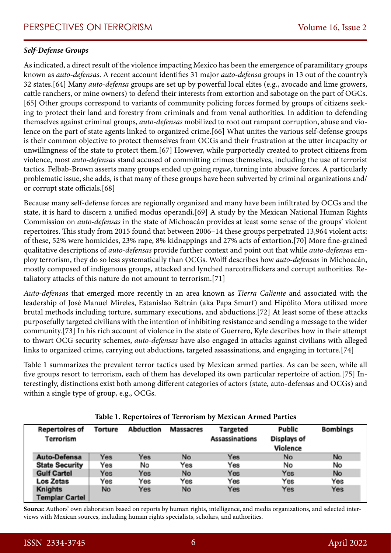#### *Self-Defense Groups*

As indicated, a direct result of the violence impacting Mexico has been the emergence of paramilitary groups known as *auto-defensas*. A recent account identifies 31 major *auto-defensa* groups in 13 out of the country's 32 states.[64] Many *auto-defensa* groups are set up by powerful local elites (e.g., avocado and lime growers, cattle ranchers, or mine owners) to defend their interests from extortion and sabotage on the part of OGCs. [65] Other groups correspond to variants of community policing forces formed by groups of citizens seeking to protect their land and forestry from criminals and from venal authorities*.* In addition to defending themselves against criminal groups, *auto-defensas* mobilized to root out rampant corruption, abuse and violence on the part of state agents linked to organized crime.[66] What unites the various self-defense groups is their common objective to protect themselves from OCGs and their frustration at the utter incapacity or unwillingness of the state to protect them.[67] However, while purportedly created to protect citizens from violence, most *auto-defensas* stand accused of committing crimes themselves, including the use of terrorist tactics. Felbab-Brown asserts many groups ended up going *rogue*, turning into abusive forces. A particularly problematic issue, she adds, is that many of these groups have been subverted by criminal organizations and/ or corrupt state officials.[68]

Because many self-defense forces are regionally organized and many have been infiltrated by OCGs and the state, it is hard to discern a unified modus operandi.[69] A study by the Mexican National Human Rights Commission on *auto-defensas* in the state of Michoacán provides at least some sense of the groups' violent repertoires. This study from 2015 found that between 2006–14 these groups perpetrated 13,964 violent acts: of these, 52% were homicides, 23% rape, 8% kidnappings and 27% acts of extortion.[70] More fine-grained qualitative descriptions of *auto-defensas* provide further context and point out that while *auto-defensas* employ terrorism, they do so less systematically than OCGs. Wolff describes how *auto-defensas* in Michoacán, mostly composed of indigenous groups, attacked and lynched narcotraffickers and corrupt authorities. Retaliatory attacks of this nature do not amount to terrorism.[71]

*Auto-defensas* that emerged more recently in an area known as *Tierra Caliente* and associated with the leadership of José Manuel Mireles, Estanislao Beltrán (aka Papa Smurf) and Hipólito Mora utilized more brutal methods including torture, summary executions, and abductions.[72] At least some of these attacks purposefully targeted civilians with the intention of inhibiting resistance and sending a message to the wider community.[73] In his rich account of violence in the state of Guerrero, Kyle describes how in their attempt to thwart OCG security schemes, *auto-defensas* have also engaged in attacks against civilians with alleged links to organized crime, carrying out abductions, targeted assassinations, and engaging in torture.[74]

Table 1 summarizes the prevalent terror tactics used by Mexican armed parties. As can be seen, while all five groups resort to terrorism, each of them has developed its own particular repertoire of action.[75] Interestingly, distinctions exist both among different categories of actors (state, auto-defensas and OCGs) and within a single type of group, e.g., OCGs.

| <b>Repertoires of</b>                   | Torture | <b>Abduction</b> | <b>Massacres</b> | Targeted              | Public                  | <b>Bombings</b> |
|-----------------------------------------|---------|------------------|------------------|-----------------------|-------------------------|-----------------|
| Terrorism                               |         |                  |                  | <b>Assassinations</b> | Displays of<br>Violence |                 |
| <b>Auto-Defensa</b>                     | Yes     | Yes              | No               | Yes                   | No                      | No              |
| <b>State Security</b>                   | Yes     | No               | Yes              | Yes                   | No                      | No              |
| <b>Gulf Cartel</b>                      | Yes     | Yes              | No               | Yes                   | Yes                     | No              |
| Los Zetas                               | Yes     | Yes              | Yes              | Yes                   | Yes                     | Yes             |
| <b>Knights</b><br><b>Templar Cartel</b> | No      | Yes              | No               | Yes                   | Yes                     | Yes             |

#### **Table 1. Repertoires of Terrorism by Mexican Armed Parties**

**Source**: Authors' own elaboration based on reports by human rights, intelligence, and media organizations, and selected interviews with Mexican sources, including human rights specialists, scholars, and authorities.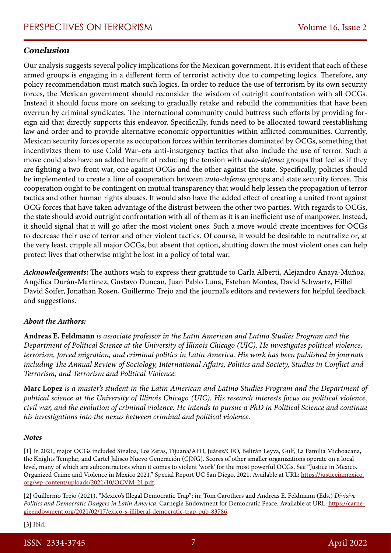## *Conclusion*

Our analysis suggests several policy implications for the Mexican government. It is evident that each of these armed groups is engaging in a different form of terrorist activity due to competing logics. Therefore, any policy recommendation must match such logics. In order to reduce the use of terrorism by its own security forces, the Mexican government should reconsider the wisdom of outright confrontation with all OCGs. Instead it should focus more on seeking to gradually retake and rebuild the communities that have been overrun by criminal syndicates. The international community could buttress such efforts by providing foreign aid that directly supports this endeavor. Specifically, funds need to be allocated toward reestablishing law and order and to provide alternative economic opportunities within afflicted communities. Currently, Mexican security forces operate as occupation forces within territories dominated by OCGs, something that incentivizes them to use Cold War–era anti-insurgency tactics that also include the use of terror. Such a move could also have an added benefit of reducing the tension with *auto-defensa* groups that feel as if they are fighting a two-front war, one against OCGs and the other against the state. Specifically, policies should be implemented to create a line of cooperation between *auto-defensa* groups and state security forces. This cooperation ought to be contingent on mutual transparency that would help lessen the propagation of terror tactics and other human rights abuses. It would also have the added effect of creating a united front against OCG forces that have taken advantage of the distrust between the other two parties. With regards to OCGs, the state should avoid outright confrontation with all of them as it is an inefficient use of manpower. Instead, it should signal that it will go after the most violent ones. Such a move would create incentives for OCGs to decrease their use of terror and other violent tactics. Of course, it would be desirable to neutralize or, at the very least, cripple all major OCGs, but absent that option, shutting down the most violent ones can help protect lives that otherwise might be lost in a policy of total war.

*Acknowledgements:* The authors wish to express their gratitude to Carla Alberti, Alejandro Anaya-Muñoz, Angélica Durán-Martínez, Gustavo Duncan, Juan Pablo Luna, Esteban Montes, David Schwartz, Hillel David Soifer, Jonathan Rosen, Guillermo Trejo and the journal's editors and reviewers for helpful feedback and suggestions.

### *About the Authors:*

**Andreas E. Feldmann** *is associate professor in the Latin American and Latino Studies Program and the Department of Political Science at the University of Illinois Chicago (UIC). He investigates political violence, terrorism, forced migration, and criminal politics in Latin America. His work has been published in journals including The Annual Review of Sociology, International Affairs, Politics and Society, Studies in Conflict and Terrorism, and Terrorism and Political Violence.*

**Marc Lopez** *is a master's student in the Latin American and Latino Studies Program and the Department of political science at the University of Illinois Chicago (UIC). His research interests focus on political violence, civil war, and the evolution of criminal violence. He intends to pursue a PhD in Political Science and continue his investigations into the nexus between criminal and political violence.*

#### *Notes*

[1] In 2021, major OCGs included Sinaloa, Los Zetas, Tijuana/AFO, Juárez/CFO, Beltrán Leyva, Gulf, La Familia Michoacana, the Knights Templar, and Cartel Jalisco Nuevo Generación (CJNG). Scores of other smaller organizations operate on a local level, many of which are subcontractors when it comes to violent 'work' for the most powerful OCGs. See "Justice in Mexico. Organized Crime and Violence in Mexico 2021," Special Report UC San Diego, 2021. Available at URL: [https://justiceinmexico.](https://justiceinmexico.org/wp-content/uploads/2021/10/OCVM-21.pdf) [org/wp-content/uploads/2021/10/OCVM-21.pdf.](https://justiceinmexico.org/wp-content/uploads/2021/10/OCVM-21.pdf)

[2] Guillermo Trejo (2021), "Mexico's Illegal Democratic Trap"; in: Tom Carothers and Andreas E. Feldmann (Eds.) *Divisive Politics and Democratic Dangers in Latin America*. Carnegie Endowment for Democratic Peace. Available at URL: [https://carne](https://carnegieendowment.org/2021/02/17/%20exico-s-illiberal-democratic-trap-pub-83786)[gieendowment.org/2021/02/17/exico-s-illiberal-democratic-trap-pub-83786.](https://carnegieendowment.org/2021/02/17/%20exico-s-illiberal-democratic-trap-pub-83786)

[3] Ibid.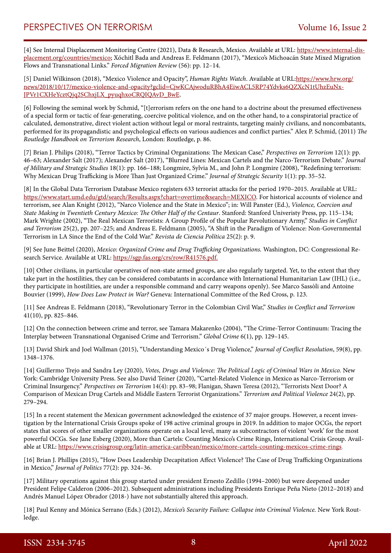[4] See Internal Displacement Monitoring Centre (2021), Data & Research, Mexico. Available at URL: [https://www.internal-dis](https://www.internal-displacement.org/countries/mexico)[placement.org/countries/mexico;](https://www.internal-displacement.org/countries/mexico) Xóchitl Bada and Andreas E. Feldmann (2017), "Mexico's Michoacán State Mixed Migration Flows and Transnational Links." *Forced Migration Review* (56): pp. 12–14.

[5] Daniel Wilkinson (2018), "Mexico Violence and Opacity", *Human Rights Watch*. Available at URL:[https://www.hrw.org/](https://www.hrw.org/news/2018/10/17/mexico-violence-and-opacity?gclid=CjwKCAjwoduRBhA4EiwACL5RP74Ydvks6QZXcN1tUhzEuNxJPVr1CXHeYcztQjq2SChxjLX_pyuqhxoCRQIQAvD_BwE) [news/2018/10/17/mexico-violence-and-opacity?gclid=CjwKCAjwoduRBhA4EiwACL5RP74Ydvks6QZXcN1tUhzEuNx-](https://www.hrw.org/news/2018/10/17/mexico-violence-and-opacity?gclid=CjwKCAjwoduRBhA4EiwACL5RP74Ydvks6QZXcN1tUhzEuNxJPVr1CXHeYcztQjq2SChxjLX_pyuqhxoCRQIQAvD_BwE)[JPVr1CXHeYcztQjq2SChxjLX\\_pyuqhxoCRQIQAvD\\_BwE](https://www.hrw.org/news/2018/10/17/mexico-violence-and-opacity?gclid=CjwKCAjwoduRBhA4EiwACL5RP74Ydvks6QZXcN1tUhzEuNxJPVr1CXHeYcztQjq2SChxjLX_pyuqhxoCRQIQAvD_BwE).

[6] Following the seminal work by Schmid, "[t]errorism refers on the one hand to a doctrine about the presumed effectiveness of a special form or tactic of fear-generating, coercive political violence, and on the other hand, to a conspiratorial practice of calculated, demonstrative, direct violent action without legal or moral restraints, targeting mainly civilians, and noncombatants, performed for its propagandistic and psychological effects on various audiences and conflict parties." Alex P. Schmid, (2011) *The Routledge Handbook on Terrorism Research*, London: Routledge, p. 86.

[7] Brian J. Philips (2018), "Terror Tactics by Criminal Organizations: The Mexican Case," *Perspectives on Terrorism* 12(1): pp. 46–63; Alexander Salt (2017); Alexander Salt (2017), "Blurred Lines: Mexican Cartels and the Narco-Terrorism Debate." *Journal of Military and Strategic Studies* 18(1): pp. 166–188; Longmire, Sylvia M., and John P. Longmire (2008), "Redefining terrorism: Why Mexican Drug Trafficking is More Than Just Organized Crime." *Journal of Strategic Security* 1(1): pp. 35–52.

[8] In the Global Data Terrorism Database Mexico registers 633 terrorist attacks for the period 1970–2015. Available at URL: <https://www.start.umd.edu/gtd/search/Results.aspx?chart=overtime&search=MEXICO>. For historical accounts of violence and terrorism, see Alan Knight (2012), "Narco Violence and the State in Mexico"; in: Will Panster (Ed.), *Violence, Coercion and State Making in Twentieth Century Mexico: The Other Half of the Centaur*. Stanford: Stanford Univeristy Press, pp. 115–134; Mark Wrighte (2002), "The Real Mexican Terrorists: A Group Profile of the Popular Revolutionary Army," *Studies in Conflict and Terrorism* 25(2), pp. 207–225; and Andreas E. Feldmann (2005), "A Shift in the Paradigm of Violence: Non-Governmental Terrorism in LA Since the End of the Cold War." *Revista de Ciencia Política* 25(2): p. 9.

[9] See June Beittel (2020), *Mexico: Organized Crime and Drug Trafficking Organizations.* Washington, DC: Congressional Research Service. Available at URL: [https://sgp.fas.org/crs/row/R41576.pdf.](https://sgp.fas.org/crs/row/R41576.pdf)

[10] Other civilians, in particular operatives of non-state armed groups, are also regularly targeted. Yet, to the extent that they take part in the hostilities, they can be considered combatants in accordance with International Humanitarian Law (IHL) (i.e., they participate in hostilities, are under a responsible command and carry weapons openly). See Marco Sassòli and Antoine Bouvier (1999), *How Does Law Protect in War?* Geneva: International Committee of the Red Cross, p. 123.

[11] See Andreas E. Feldmann (2018), "Revolutionary Terror in the Colombian Civil War," *Studies in Conflict and Terrorism* 41(10), pp. 825–846.

[12] On the connection between crime and terror, see Tamara Makarenko (2004), "The Crime-Terror Continuum: Tracing the Interplay between Transnational Organised Crime and Terrorism." *Global Crime* 6(1), pp. 129–145.

[13] David Shirk and Joel Wallman (2015), "Understanding Mexico´s Drug Violence," *Journal of Conflict Resolution*, 59(8), pp. 1348–1376.

[14] Guillermo Trejo and Sandra Ley (2020), *Votes, Drugs and Violence: The Political Logic of Criminal Wars in Mexico.* New York: Cambridge University Press. See also David Teiner (2020), "Cartel-Related Violence in Mexico as Narco-Terrorism or Criminal Insurgency." *Perspectives on Terrorism* 14(4): pp. 83–98; Flanigan, Shawn Teresa (2012), "Terrorists Next Door? A Comparison of Mexican Drug Cartels and Middle Eastern Terrorist Organizations." *Terrorism and Political Violence* 24(2), pp. 279–294.

[15] In a recent statement the Mexican government acknowledged the existence of 37 major groups. However, a recent investigation by the International Crisis Groups spoke of 198 active criminal groups in 2019. In addition to major OCGs, the report states that scores of other smaller organizations operate on a local level, many as subcontractors of violent 'work' for the most powerful OCGs. See Jane Esberg (2020), More than Cartels: Counting Mexico's Crime Rings, International Crisis Group. Available at URL: <https://www.crisisgroup.org/latin-america-caribbean/mexico/more-cartels-counting-mexicos-crime-rings>.

[16] Brian J. Phillips (2015), "How Does Leadership Decapitation Affect Violence? The Case of Drug Trafficking Organizations in Mexico," *Journal of Politics* 77(2): pp. 324–36.

[17] Military operations against this group started under president Ernesto Zedillo (1994–2000) but were deepened under President Felipe Calderon (2006–2012). Subsequent administrations including Presidents Enrique Peña Nieto (2012–2018) and Andrés Manuel López Obrador (2018-) have not substantially altered this approach.

[18] Paul Kenny and Mónica Serrano (Eds.) (2012), *Mexico's Security Failure: Collapse into Criminal Violence.* New York Routledge.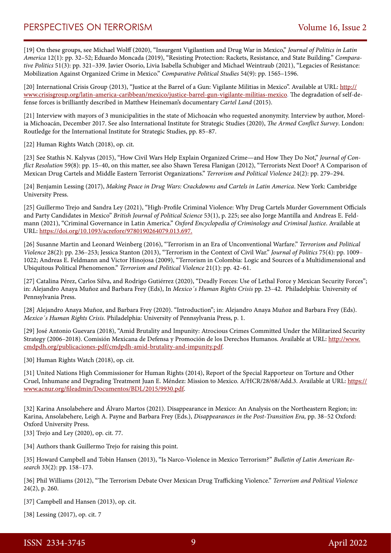[19] On these groups, see Michael Wolff (2020), "Insurgent Vigilantism and Drug War in Mexico," *Journal of Politics in Latin America* 12(1): pp. 32–52; Eduardo Moncada (2019), "Resisting Protection: Rackets, Resistance, and State Building." *Comparative Politics* 51(3): pp. 321–339. Javier Osorio, Livia Isabella Schubiger and Michael Weintraub (2021), "Legacies of Resistance: Mobilization Against Organized Crime in Mexico." *Comparative Political Studies* 54(9): pp. 1565–1596.

[20] International Crisis Group (2013), "Justice at the Barrel of a Gun: Vigilante Militias in Mexico". Available at URL: [http://](http://www.crisisgroup.org/latin-america-caribbean/mexico/justice-barrel-gun-vigilante-militias-mexico) [www.crisisgroup.org/latin-america-caribbean/mexico/justice-barrel-gun-vigilante-militias-mexico](http://www.crisisgroup.org/latin-america-caribbean/mexico/justice-barrel-gun-vigilante-militias-mexico). The degradation of self-defense forces is brilliantly described in Matthew Heineman's documentary *Cartel Land* (2015).

[21] Interview with mayors of 3 municipalities in the state of Michoacán who requested anonymity. Interview by author, Morelia Michoacán, December 2017. See also International Institute for Strategic Studies (2020), *The Armed Conflict Survey*. London: Routledge for the International Institute for Strategic Studies, pp. 85–87.

[22] Human Rights Watch (2018), op. cit.

[23] See Stathis N. Kalyvas (2015), "How Civil Wars Help Explain Organized Crime—and How They Do Not," *Journal of Conflict Resolution* 59(8): pp. 15–40, on this matter, see also Shawn Teresa Flanigan (2012), "Terrorists Next Door? A Comparison of Mexican Drug Cartels and Middle Eastern Terrorist Organizations." *Terrorism and Political Violence* 24(2): pp. 279–294.

[24] Benjamin Lessing (2017), *Making Peace in Drug Wars: Crackdowns and Cartels in Latin America*. New York: Cambridge University Press.

[25] Guillermo Trejo and Sandra Ley (2021), "High-Profile Criminal Violence: Why Drug Cartels Murder Government Officials and Party Candidates in Mexico" *British Journal of Political Science* 53(1), p. 225; see also Jorge Mantilla and Andreas E. Feldmann (2021), "Criminal Governance in Latin America." *Oxford Encyclopedia of Criminology and Criminal Justice*. Available at URL: <https://doi.org/10.1093/acrefore/9780190264079.013.697>.

[26] Susanne Martin and Leonard Weinberg (2016), "Terrorism in an Era of Unconventional Warfare." *Terrorism and Political Violence* 28(2): pp. 236–253; Jessica Stanton (2013), "Terrorism in the Context of Civil War." *Journal of Politics* 75(4): pp. 1009– 1022; Andreas E. Feldmann and Victor Hinojosa (2009), "Terrorism in Colombia: Logic and Sources of a Multidimensional and Ubiquitous Political Phenomenon." *Terrorism and Political Violence* 21(1): pp. 42–61.

[27] Catalina Pérez, Carlos Silva, and Rodrigo Gutiérrez (2020), "Deadly Forces: Use of Lethal Force y Mexican Security Forces"; in: Alejandro Anaya Muñoz and Barbara Frey (Eds), In *Mexico´s Human Rights Crisis* pp. 23–42.Philadelphia: University of Pennsylvania Press.

[28] Alejandro Anaya Muñoz, and Barbara Frey (2020). "Introduction"; in: Alejandro Anaya Muñoz and Barbara Frey (Eds). *Mexico´s Human Rights Crisis.* Philadelphia: University of Pennsylvania Press, p. 1.

[29] José Antonio Guevara (2018), "Amid Brutality and Impunity: Atrocious Crimes Committed Under the Militarized Security Strategy (2006–2018). Comisión Mexicana de Defensa y Promoción de los Derechos Humanos. Available at URL: [http://www.](http://www.cmdpdh.org/publicaciones-pdf/cmdpdh-amid-brutality-and-impunity.pdf) [cmdpdh.org/publicaciones-pdf/cmdpdh-amid-brutality-and-impunity.pdf](http://www.cmdpdh.org/publicaciones-pdf/cmdpdh-amid-brutality-and-impunity.pdf).

[30] Human Rights Watch (2018), op. cit.

[31] United Nations High Commissioner for Human Rights (2014), Report of the Special Rapporteur on Torture and Other Cruel, Inhumane and Degrading Treatment Juan E. Méndez: Mission to Mexico. A/HCR/28/68/Add.3. Available at URL: [https://](https://www.acnur.org/fileadmin/Documentos/BDL/2015/9930.pdf) [www.acnur.org/fileadmin/Documentos/BDL/2015/9930.pdf.](https://www.acnur.org/fileadmin/Documentos/BDL/2015/9930.pdf)

[32] Karina Ansolabehere and Álvaro Martos (2021). Disappearance in Mexico: An Analysis on the Northeastern Region; in: Karina, Ansolabehere, Leigh A. Payne and Barbara Frey (Eds.), *Disappearances in the Post-Transition Era,* pp. 38–52 Oxford: Oxford University Press.

[33] Trejo and Ley (2020), op. cit. 77.

[34] Authors thank Guillermo Trejo for raising this point.

[35] Howard Campbell and Tobin Hansen (2013), "Is Narco-Violence in Mexico Terrorism?" *Bulletin of Latin American Research* 33(2): pp. 158–173.

[36] Phil Williams (2012), "The Terrorism Debate Over Mexican Drug Trafficking Violence." *Terrorism and Political Violence* 24(2), p. 260.

[37] Campbell and Hansen (2013), op. cit.

[38] Lessing (2017), op. cit. 7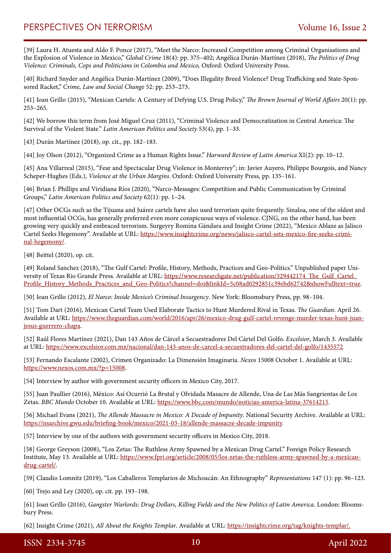[39] Laura H. Atuesta and Aldo F. Ponce (2017), "Meet the Narco: Increased Competition among Criminal Organisations and the Explosion of Violence in Mexico," *Global Crime* 18(4): pp. 375–402; Angélica Durán-Martínez (2018), *The Politics of Drug Violence: Criminals, Cops and Politicians in Colombia and Mexico,* Oxford: Oxford University Press.

[40] Richard Snyder and Angélica Durán-Martínez (2009), "Does Illegality Breed Violence? Drug Trafficking and State-Sponsored Racket," *Crime, Law and Social Change* 52: pp. 253–273.

[41] Ioan Grillo (2015), "Mexican Cartels: A Century of Defying U.S. Drug Policy," *The Brown Journal of World Affairs* 20(1): pp. 253–265.

[42] We borrow this term from José Miguel Cruz (2011), "Criminal Violence and Democratization in Central America: The Survival of the Violent State." *Latin American Politics and Society* 53(4), pp. 1–33.

[43] Durán Martínez (2018), op. cit., pp. 182–183.

[44] Joy Olson (2012), "Organized Crime as a Human Rights Issue." *Harward Review of Latin America* XI(2): pp. 10–12.

[45] Ana Villarreal (2015), "Fear and Spectacular Drug Violence in Monterrey"; in: Javier Auyero, Philippe Bourgois, and Nancy Scheper-Hughes (Eds.), *Violence at the Urban Margins*. Oxford: Oxford University Press, pp. 135–161.

[46] Brian J. Phillips and Viridiana Ríos (2020), "Narco-Messages: Competition and Public Communication by Criminal Groups," *Latin American Politics and Society* 62(1): pp. 1–24.

[47] Other OCGs such as the Tijuana and Juárez cartels have also used terrorism quite frequently. Sinaloa, one of the oldest and most influential OCGs, has generally preferred even more conspicuous ways of violence. CJNG, on the other hand, has been growing very quickly and embraced terrorism. Surgeyry Romina Gándara and Insight Crime (2022), "Mexico Ablaze as Jalisco Cartel Seeks Hegemony". Available at URL: [https://www.insightcrime.org/news/jalisco-cartel-sets-mexico-fire-seeks-crimi](https://www.insightcrime.org/news/jalisco-cartel-sets-mexico-fire-seeks-criminal-hegemony/)[nal-hegemony/.](https://www.insightcrime.org/news/jalisco-cartel-sets-mexico-fire-seeks-criminal-hegemony/)

[48] Beittel (2020), op. cit.

[49] Roland Sanchez (2018), "The Gulf Cartel: Profile, History, Methods, Practices and Geo-Politics." Unpublished paper University of Texas Rio Grande Press. Available at URL: [https://www.researchgate.net/publication/329442174\\_The\\_Gulf\\_Cartel\\_](https://www.researchgate.net/publication/329442174_The_Gulf_Cartel_Profile_History_Methods_Practices_and_Geo-Politics?channel=doi&linkId=5c08ad0292851c39ebd62742&showFulltext=true) [Profile\\_History\\_Methods\\_Practices\\_and\\_Geo-Politics?channel=doi&linkId=5c08ad0292851c39ebd62742&showFulltext=true.](https://www.researchgate.net/publication/329442174_The_Gulf_Cartel_Profile_History_Methods_Practices_and_Geo-Politics?channel=doi&linkId=5c08ad0292851c39ebd62742&showFulltext=true)

[50] Ioan Grillo (2012), *El Narco: Inside Mexico's Criminal Insurgency*. New York: Bloomsbury Press, pp. 98–104.

[51] Tom Dart (2016), Mexican Cartel Team Used Elaborate Tactics to Hunt Murdered Rival in Texas. *The Guardian*. April 26. Available at URL: [https://www.theguardian.com/world/2016/apr/26/mexico-drug-gulf-cartel-revenge-murder-texas-hunt-juan](https://www.theguardian.com/world/2016/apr/26/mexico-drug-gulf-cartel-revenge-murder-texas-hunt-juan-jesus-guerrero-chapa)[jesus-guerrero-chapa](https://www.theguardian.com/world/2016/apr/26/mexico-drug-gulf-cartel-revenge-murder-texas-hunt-juan-jesus-guerrero-chapa).

[52] Raúl Flores Martínez (2021), Dan 143 Años de Cárcel a Secuestradores Del Cártel Del Golfo. *Excelsior*, March 3. Available at URL: <https://www.excelsior.com.mx/nacional/dan-143-anos-de-carcel-a-secuestradores-del-cartel-del-golfo/1435572>.

[53] Fernando Escalante (2002), Crimen Organizado: La Dimensión Imaginaria. *Nexos* 15008 October 1. Available at URL: <https://www.nexos.com.mx/?p=15008>.

[54] Interview by author with government security officers in Mexico City, 2017.

[55] Juan Paullier (2016), México: Así Ocurrió La Brutal y Olvidada Masacre de Allende, Una de Las Más Sangrientas de Los Zetas. *BBC Mundo* October 10. Available at URL: <https://www.bbc.com/mundo/noticias-america-latina-37614215>.

[56] Michael Evans (2021), *The Allende Massacre in Mexico: A Decade of Impunity*. National Security Archive. Available at URL: <https://nsarchive.gwu.edu/briefing-book/mexico/2021-03-18/allende-massacre-decade-impunity>.

[57] Interview by one of the authors with government security officers in Mexico City, 2018.

[58] George Greyson (2008), "Los Zetas: The Ruthless Army Spawned by a Mexican Drug Cartel." Foreign Policy Research Institute, May 13. Available at URL: [https://www.fpri.org/article/2008/05/los-zetas-the-ruthless-army-spawned-by-a-mexican](https://www.fpri.org/article/2008/05/los-zetas-the-ruthless-army-spawned-by-a-mexican-drug-cartel/)[drug-cartel/](https://www.fpri.org/article/2008/05/los-zetas-the-ruthless-army-spawned-by-a-mexican-drug-cartel/).

[59] Claudio Lomnitz (2019), "Los Caballeros Templarios de Michoacán: An Ethnography" *Representations* 147 (1): pp. 96–123.

[60] Trejo and Ley (2020), op. cit. pp. 193–198.

[61] Ioan Grillo (2016), *Gangster Warlords: Drug Dollars, Killing Fields and the New Politics of Latin America*. London: Bloomsbury Press.

[62] Insight Crime (2021), *All About the Knights Templar*. Available at URL:<https://insightcrime.org/tag/knights-templar/>.